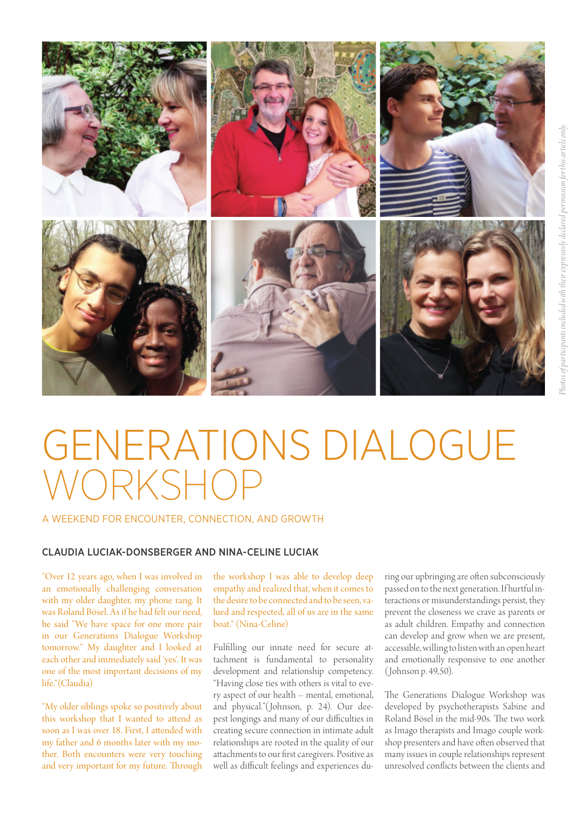

# GENERATIONS DIALOGUE WORKSHOP

### A WEEKEND FOR ENCOUNTER, CONNECTION, AND GROWTH

## CLAUDIA LUCIAK-DONSBERGER AND NINA-CELINE LUCIAK

"Over 12 years ago, when I was involved in an emotionally challenging conversation with my older daughter, my phone rang. It was Roland Bösel. As if he had felt our need, he said "We have space for one more pair in our Generations Dialogue Workshop tomorrow." My daughter and I looked at each other and immediately said 'yes'. It was one of the most important decisions of my life."(Claudia)

"My older siblings spoke so positively about this workshop that I wanted to attend as soon as I was over 18. First, I attended with my father and 6 months later with my mother. Both encounters were very touching and very important for my future. Through

the workshop I was able to develop deep empathy and realized that, when it comes to the desire to be connected and to be seen, valued and respected, all of us are in the same boat." (Nina-Celine)

Fulfilling our innate need for secure attachment is fundamental to personality development and relationship competency. "Having close ties with others is vital to every aspect of our health – mental, emotional, and physical."(Johnson, p. 24). Our deepest longings and many of our difficulties in creating secure connection in intimate adult relationships are rooted in the quality of our attachments to our first caregivers. Positive as well as difficult feelings and experiences during our upbringing are often subconsciously passed on to the next generation. If hurtful interactions or misunderstandings persist, they prevent the closeness we crave as parents or as adult children. Empathy and connection can develop and grow when we are present, accessible, willing to listen with an open heart and emotionally responsive to one another (Johnson p. 49,50).

The Generations Dialogue Workshop was developed by psychotherapists Sabine and Roland Bösel in the mid-90s. The two work as Imago therapists and Imago couple workshop presenters and have often observed that many issues in couple relationships represent unresolved conflicts between the clients and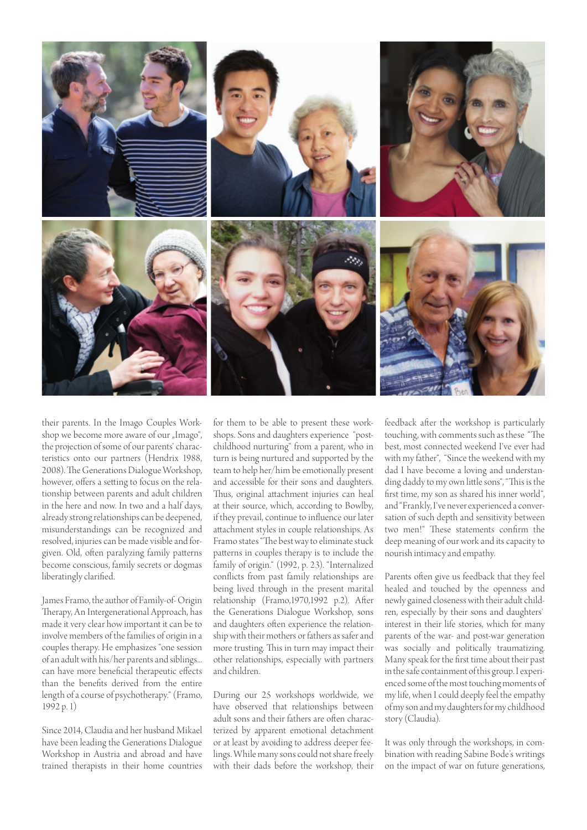

their parents. In the Imago Couples Workshop we become more aware of our "Imago", the projection of some of our parents' characteristics onto our partners (Hendrix 1988, 2008). The Generations Dialogue Workshop, however, offers a setting to focus on the relationship between parents and adult children in the here and now. In two and a half days, already strong relationships can be deepened, misunderstandings can be recognized and resolved, injuries can be made visible and forgiven. Old, often paralyzing family patterns become conscious, family secrets or dogmas liberatingly clarified.

James Framo, the author of Family-of- Origin Therapy, An Intergenerational Approach, has made it very clear how important it can be to involve members of the families of origin in a couples therapy. He emphasizes "one session of an adult with his/her parents and siblings... can have more beneficial therapeutic effects than the benefits derived from the entire length of a course of psychotherapy." (Framo, 1992 p. 1)

Since 2014, Claudia and her husband Mikael have been leading the Generations Dialogue Workshop in Austria and abroad and have trained therapists in their home countries

for them to be able to present these workshops. Sons and daughters experience "postchildhood nurturing" from a parent, who in turn is being nurtured and supported by the team to help her/him be emotionally present and accessible for their sons and daughters. Thus, original attachment injuries can heal at their source, which, according to Bowlby, if they prevail, continue to influence our later attachment styles in couple relationships. As Framo states "The best way to eliminate stuck patterns in couples therapy is to include the family of origin." (1992, p. 23). "Internalized conflicts from past family relationships are being lived through in the present marital relationship (Framo,1970,1992 p.2). After the Generations Dialogue Workshop, sons and daughters often experience the relationship with their mothers or fathers as safer and more trusting. This in turn may impact their other relationships, especially with partners and children.

During our 25 workshops worldwide, we have observed that relationships between adult sons and their fathers are often characterized by apparent emotional detachment or at least by avoiding to address deeper feelings. While many sons could not share freely with their dads before the workshop, their

feedback after the workshop is particularly touching, with comments such as these "The best, most connected weekend I've ever had with my father", "Since the weekend with my dad I have become a loving and understanding daddy to my own little sons", "This is the first time, my son as shared his inner world", and "Frankly, I've never experienced a conversation of such depth and sensitivity between two men!" These statements confirm the deep meaning of our work and its capacity to nourish intimacy and empathy.

Parents often give us feedback that they feel healed and touched by the openness and newly gained closeness with their adult children, especially by their sons and daughters` interest in their life stories, which for many parents of the war- and post-war generation was socially and politically traumatizing. Many speak for the first time about their past in the safe containment of this group. I experienced some of the most touching moments of my life, when I could deeply feel the empathy of my son and my daughters for my childhood story (Claudia).

It was only through the workshops, in combination with reading Sabine Bode's writings on the impact of war on future generations,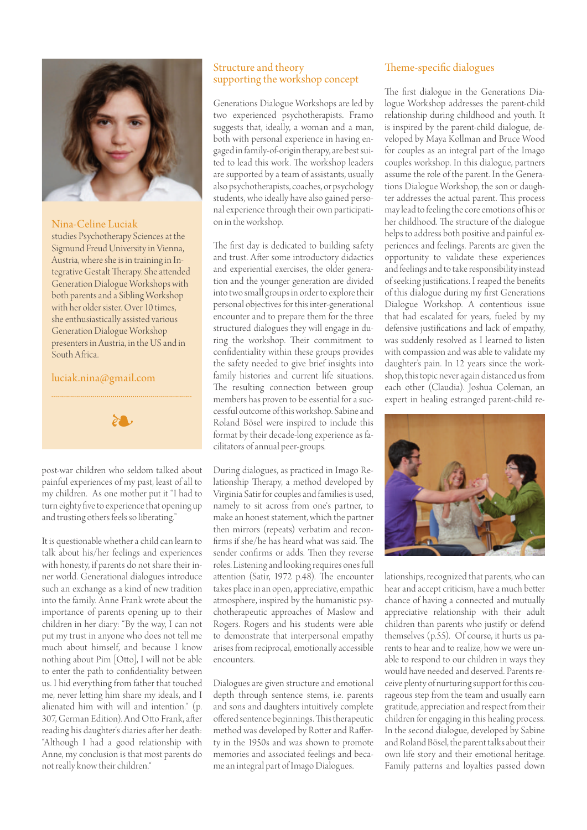

Nina-Celine Luciak

studies Psychotherapy Sciences at the Sigmund Freud University in Vienna, Austria, where she is in training in Integrative Gestalt Therapy. She attended Generation Dialogue Workshops with both parents and a Sibling Workshop with her older sister. Over 10 times, she enthusiastically assisted various Generation Dialogue Workshop presenters in Austria, in the US and in South Africa.

## luciak.nina@gmail.com



post-war children who seldom talked about painful experiences of my past, least of all to my children. As one mother put it "I had to turn eighty five to experience that opening up and trusting others feels so liberating."

It is questionable whether a child can learn to talk about his/her feelings and experiences with honesty, if parents do not share their inner world. Generational dialogues introduce such an exchange as a kind of new tradition into the family. Anne Frank wrote about the importance of parents opening up to their children in her diary: "By the way, I can not put my trust in anyone who does not tell me much about himself, and because I know nothing about Pim [Otto], I will not be able to enter the path to confidentiality between us. I hid everything from father that touched me, never letting him share my ideals, and I alienated him with will and intention." (p. 307, German Edition). And Otto Frank, after reading his daughter's diaries after her death: "Although I had a good relationship with Anne, my conclusion is that most parents do not really know their children."

## Structure and theory supporting the workshop concept

Generations Dialogue Workshops are led by two experienced psychotherapists. Framo suggests that, ideally, a woman and a man, both with personal experience in having engaged in family-of-origin therapy, are best suited to lead this work. The workshop leaders are supported by a team of assistants, usually also psychotherapists, coaches, or psychology students, who ideally have also gained personal experience through their own participation in the workshop.

The first day is dedicated to building safety and trust. After some introductory didactics and experiential exercises, the older generation and the younger generation are divided into two small groups in order to explore their personal objectives for this inter-generational encounter and to prepare them for the three structured dialogues they will engage in during the workshop. Their commitment to confidentiality within these groups provides the safety needed to give brief insights into family histories and current life situations. The resulting connection between group members has proven to be essential for a successful outcome of this workshop. Sabine and Roland Bösel were inspired to include this format by their decade-long experience as facilitators of annual peer-groups.

During dialogues, as practiced in Imago Relationship Therapy, a method developed by Virginia Satir for couples and families is used, namely to sit across from one's partner, to make an honest statement, which the partner then mirrors (repeats) verbatim and reconfirms if she/he has heard what was said. The sender confirms or adds. Then they reverse roles. Listening and looking requires ones full attention (Satir, 1972 p.48). The encounter takes place in an open, appreciative, empathic atmosphere, inspired by the humanistic psychotherapeutic approaches of Maslow and Rogers. Rogers and his students were able to demonstrate that interpersonal empathy arises from reciprocal, emotionally accessible encounters.

Dialogues are given structure and emotional depth through sentence stems, i.e. parents and sons and daughters intuitively complete offered sentence beginnings. This therapeutic method was developed by Rotter and Rafferty in the 1950s and was shown to promote memories and associated feelings and became an integral part of Imago Dialogues.

## Theme-specific dialogues

The first dialogue in the Generations Dialogue Workshop addresses the parent-child relationship during childhood and youth. It is inspired by the parent-child dialogue, developed by Maya Kollman and Bruce Wood for couples as an integral part of the Imago couples workshop. In this dialogue, partners assume the role of the parent. In the Generations Dialogue Workshop, the son or daughter addresses the actual parent. This process may lead to feeling the core emotions of his or her childhood. The structure of the dialogue helps to address both positive and painful experiences and feelings. Parents are given the opportunity to validate these experiences and feelings and to take responsibility instead of seeking justifications. I reaped the benefits of this dialogue during my first Generations Dialogue Workshop. A contentious issue that had escalated for years, fueled by my defensive justifications and lack of empathy, was suddenly resolved as I learned to listen with compassion and was able to validate my daughter's pain. In 12 years since the workshop, this topic never again distanced us from each other (Claudia). Joshua Coleman, an expert in healing estranged parent-child re-



lationships, recognized that parents, who can hear and accept criticism, have a much better chance of having a connected and mutually appreciative relationship with their adult children than parents who justify or defend themselves (p.55). Of course, it hurts us parents to hear and to realize, how we were unable to respond to our children in ways they would have needed and deserved. Parents receive plenty of nurturing support for this courageous step from the team and usually earn gratitude, appreciation and respect from their children for engaging in this healing process. In the second dialogue, developed by Sabine and Roland Bösel, the parent talks about their own life story and their emotional heritage. Family patterns and loyalties passed down